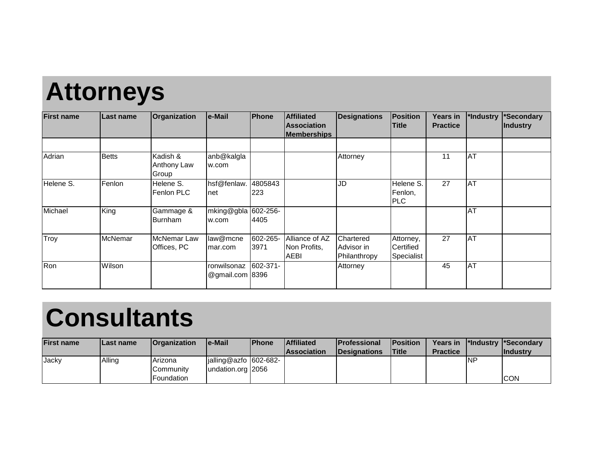## **Attorneys**

| <b>First name</b> | Last name | Organization                      | le-Mail                        | <b>IPhone</b>    | <b>Affiliated</b><br><b>Association</b><br><b>Memberships</b> | <b>Designations</b>                     | <b>Position</b><br><b>Title</b>      | <b>Years in</b><br><b>Practice</b> | *Industry        | *Secondary<br>Industry |
|-------------------|-----------|-----------------------------------|--------------------------------|------------------|---------------------------------------------------------------|-----------------------------------------|--------------------------------------|------------------------------------|------------------|------------------------|
|                   |           |                                   |                                |                  |                                                               |                                         |                                      |                                    |                  |                        |
| Adrian            | Betts     | Kadish &<br>Anthony Law<br>Group  | anb@kalgla<br>w.com            |                  |                                                               | Attorney                                |                                      | 11                                 | AT               |                        |
| Helene S.         | Fenlon    | Helene S.<br>Fenlon PLC           | hsf@fenlaw.<br>net             | 4805843<br>223   |                                                               | JD                                      | Helene S.<br>Fenlon,<br><b>PLC</b>   | 27                                 | AT               |                        |
| Michael           | King      | Gammage &<br><b>Burnham</b>       | mking@gbla 602-256-<br>w.com   | 4405             |                                                               |                                         |                                      |                                    | $\overline{A}$ T |                        |
| Troy              | McNemar   | <b>McNemar Law</b><br>Offices, PC | law@mcne<br>Imar.com           | 602-265-<br>3971 | Alliance of AZ<br>Non Profits,<br><b>AEBI</b>                 | Chartered<br>Advisor in<br>Philanthropy | Attorney,<br>Certified<br>Specialist | 27                                 | <b>AT</b>        |                        |
| Ron               | Wilson    |                                   | ronwilsonaz<br>@gmail.com 8396 | 602-371-         |                                                               | Attorney                                |                                      | 45                                 | $\overline{AT}$  |                        |

## **Consultants**

| <b>First name</b> | ILast name | <b>IOrganization</b> | le-Mail                                | <b>IPhone</b> | <b>Affiliated</b>  | <b>IProfessional</b> | <b>IPosition</b> | <b>Years in</b> |     | <b>The I*Secondary</b> |
|-------------------|------------|----------------------|----------------------------------------|---------------|--------------------|----------------------|------------------|-----------------|-----|------------------------|
|                   |            |                      |                                        |               | <b>Association</b> | <b>IDesignations</b> | <b>ITitle</b>    | <b>Practice</b> |     | <b>Industry</b>        |
| <b>Jacky</b>      | Alling     | Arizona              | $\left  \right $ ialling@azfo 602-682- |               |                    |                      |                  |                 | INP |                        |
|                   |            | Community            | undation.org 2056                      |               |                    |                      |                  |                 |     |                        |
|                   |            | Foundation           |                                        |               |                    |                      |                  |                 |     | <b>ICON</b>            |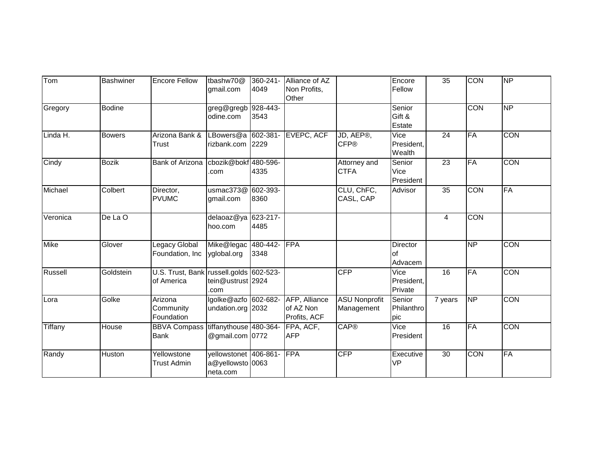| Tom      | <b>Bashwiner</b> | <b>Encore Fellow</b>                                  | tbashw70@<br>gmail.com                                | 360-241-<br>4049 | Alliance of AZ<br>Non Profits,<br>Other    |                                    | Encore<br>Fellow              | 35              | <b>CON</b>      | <b>NP</b>  |
|----------|------------------|-------------------------------------------------------|-------------------------------------------------------|------------------|--------------------------------------------|------------------------------------|-------------------------------|-----------------|-----------------|------------|
| Gregory  | <b>Bodine</b>    |                                                       | greg@gregb<br>odine.com                               | 928-443-<br>3543 |                                            |                                    | Senior<br>Gift &<br>Estate    |                 | <b>CON</b>      | <b>NP</b>  |
| Linda H. | <b>Bowers</b>    | Arizona Bank &<br>Trust                               | LBowers@a 602-381-<br>rizbank.com 2229                |                  | <b>EVEPC, ACF</b>                          | JD, AEP®,<br><b>CFP®</b>           | Vice<br>President,<br>Wealth  | $\overline{24}$ | <b>FA</b>       | <b>CON</b> |
| Cindy    | <b>Bozik</b>     | <b>Bank of Arizona</b>                                | cbozik@bokf 480-596-<br>.com                          | 4335             |                                            | Attorney and<br><b>CTFA</b>        | Senior<br>Vice<br>President   | $\overline{23}$ | FA              | <b>CON</b> |
| Michael  | Colbert          | Director,<br><b>PVUMC</b>                             | usmac $373@$<br>gmail.com                             | 602-393-<br>8360 |                                            | CLU, ChFC,<br>CASL, CAP            | Advisor                       | $\overline{35}$ | <b>CON</b>      | <b>FA</b>  |
| Veronica | De La O          |                                                       | delaoaz@ya<br>hoo.com                                 | 623-217-<br>4485 |                                            |                                    |                               | 4               | CON             |            |
| Mike     | Glover           | Legacy Global<br>Foundation, Inc                      | Mike@legac<br>yglobal.org                             | 480-442-<br>3348 | FPA                                        |                                    | Director<br>lof<br>Advacem    |                 | $\overline{NP}$ | CON        |
| Russell  | Goldstein        | U.S. Trust, Bank russell.golds 602-523-<br>of America | tein@ustrust 2924<br>.com                             |                  |                                            | <b>CFP</b>                         | Vice<br>President,<br>Private | 16              | <b>FA</b>       | <b>CON</b> |
| Lora     | Golke            | Arizona<br>Community<br>Foundation                    | lgolke@azfo 602-682-<br>undation.org 2032             |                  | AFP, Alliance<br>of AZ Non<br>Profits, ACF | <b>ASU Nonprofit</b><br>Management | Senior<br>Philanthro<br>pic   | 7 years         | $\overline{NP}$ | <b>CON</b> |
| Tiffany  | House            | <b>BBVA Compass</b><br><b>Bank</b>                    | tiffanythouse 480-364-<br>@gmail.com 0772             |                  | FPA, ACF,<br><b>AFP</b>                    | <b>CAP®</b>                        | Vice<br>President             | 16              | FA              | <b>CON</b> |
| Randy    | Huston           | Yellowstone<br><b>Trust Admin</b>                     | yellowstonet 406-861-<br>a@yellowsto 0063<br>neta.com |                  | FPA                                        | <b>CFP</b>                         | Executive<br><b>VP</b>        | 30              | <b>CON</b>      | FA         |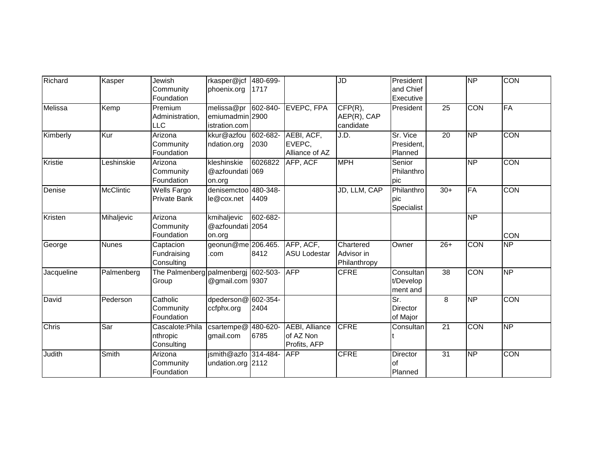| Richard      | Kasper           | Jewish                     | rkasper@jcf          | 480-699- |                       | JD           | President             |                 | <b>NP</b>       | <b>CON</b>      |
|--------------|------------------|----------------------------|----------------------|----------|-----------------------|--------------|-----------------------|-----------------|-----------------|-----------------|
|              |                  | Community                  | phoenix.org          | 1717     |                       |              | and Chief             |                 |                 |                 |
|              |                  | Foundation                 |                      |          |                       |              | Executive             |                 |                 |                 |
| Melissa      | Kemp             | Premium                    | melissa@pr           | 602-840- | EVEPC, FPA            | CFP(R),      | President             | $\overline{25}$ | CON             | <b>FA</b>       |
|              |                  | Administration,            | emiumadmin 2900      |          |                       | AEP(R), CAP  |                       |                 |                 |                 |
|              |                  | <b>LLC</b>                 | istration.com        |          |                       | candidate    |                       |                 |                 |                 |
| Kimberly     | Kur              | Arizona                    | kkur@azfou           | 602-682- | AEBI, ACF,            | J.D.         | Sr. Vice              | $\overline{20}$ | NP              | <b>CON</b>      |
|              |                  | Community                  | ndation.org          | 2030     | EVEPC,                |              | President.            |                 |                 |                 |
|              |                  | Foundation                 |                      |          | Alliance of AZ        |              | Planned               |                 |                 |                 |
| Kristie      | Leshinskie       | Arizona                    | kleshinskie          | 6026822  | AFP, ACF              | <b>MPH</b>   | Senior                |                 | $\overline{NP}$ | <b>CON</b>      |
|              |                  | Community                  | @azfoundati 069      |          |                       |              | Philanthro            |                 |                 |                 |
|              |                  | Foundation                 | on.org               |          |                       |              | pic                   |                 |                 |                 |
| Denise       | <b>McClintic</b> | <b>Wells Fargo</b>         | denisemctoo 480-348- |          |                       | JD, LLM, CAP | Philanthro            | $30+$           | <b>FA</b>       | <b>CON</b>      |
|              |                  | Private Bank               | le@cox.net           | 4409     |                       |              | pic                   |                 |                 |                 |
|              |                  |                            |                      |          |                       |              | Specialist            |                 |                 |                 |
| Kristen      | Mihaljevic       | Arizona                    | kmihaljevic          | 602-682- |                       |              |                       |                 | $\overline{NP}$ |                 |
|              |                  | Community                  | @azfoundati 2054     |          |                       |              |                       |                 |                 |                 |
|              |                  | Foundation                 | on.org               |          |                       |              |                       |                 |                 | <b>CON</b>      |
| George       | <b>Nunes</b>     | Captacion                  | geonun@me 206.465.   |          | AFP, ACF,             | Chartered    | Owner                 | $26+$           | <b>CON</b>      | $\overline{NP}$ |
|              |                  | Fundraising                | .com                 | 8412     | <b>ASU Lodestar</b>   | Advisor in   |                       |                 |                 |                 |
|              |                  | Consulting                 |                      |          |                       | Philanthropy |                       |                 |                 |                 |
| Jacqueline   | Palmenberg       | The Palmenberg palmenbergj |                      | 602-503- | <b>AFP</b>            | <b>CFRE</b>  | Consultan             | 38              | <b>CON</b>      | $\overline{NP}$ |
|              |                  | Group                      | @gmail.com 9307      |          |                       |              | t/Develop<br>ment and |                 |                 |                 |
| David        | Pederson         | Catholic                   | dpederson@           | 602-354- |                       |              | Sr.                   | 8               | $\overline{NP}$ | <b>CON</b>      |
|              |                  | Community                  | ccfphx.org           | 2404     |                       |              | Director              |                 |                 |                 |
|              |                  | Foundation                 |                      |          |                       |              | of Major              |                 |                 |                 |
| <b>Chris</b> | Sar              | Cascalote: Phila           | $c$ sartempe $@$     | 480-620- | <b>AEBI, Alliance</b> | <b>CFRE</b>  | Consultan             | $\overline{21}$ | CON             | <b>NP</b>       |
|              |                  | nthropic                   | gmail.com            | 6785     | of AZ Non             |              |                       |                 |                 |                 |
|              |                  | Consulting                 |                      |          | Profits, AFP          |              |                       |                 |                 |                 |
| Judith       | Smith            | Arizona                    | jsmith@azfo 314-484- |          | <b>AFP</b>            | <b>CFRE</b>  | <b>Director</b>       | $\overline{31}$ | $\overline{NP}$ | <b>CON</b>      |
|              |                  | Community                  | undation.org 2112    |          |                       |              | lof                   |                 |                 |                 |
|              |                  | Foundation                 |                      |          |                       |              | Planned               |                 |                 |                 |
|              |                  |                            |                      |          |                       |              |                       |                 |                 |                 |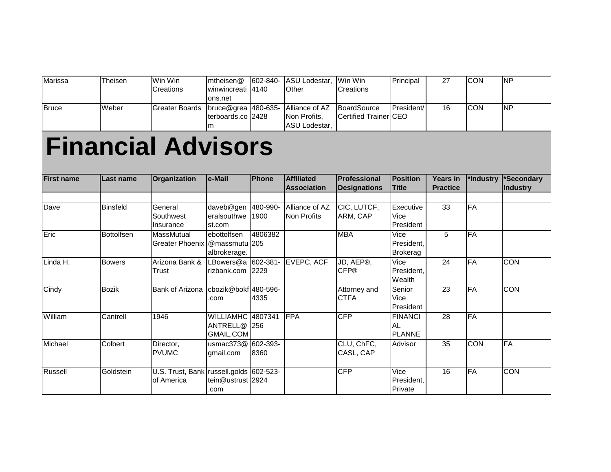| Marissa      | Theisen | Win Win                                                           | $m$ theisen@        | 1602-840- IASU Lodestar. Win Win |                                | Principal           |    | <b>ICON</b> | INP |
|--------------|---------|-------------------------------------------------------------------|---------------------|----------------------------------|--------------------------------|---------------------|----|-------------|-----|
|              |         | <b>Creations</b>                                                  | Iwinwincreati I4140 | <b>Other</b>                     | <b>Creations</b>               |                     |    |             |     |
|              |         |                                                                   | ons.net             |                                  |                                |                     |    |             |     |
| <b>Bruce</b> | Weber   | Greater Boards   bruce@grea   480-635- Alliance of AZ BoardSource |                     |                                  |                                | <b>IPresident/I</b> | 16 | <b>CON</b>  | INP |
|              |         |                                                                   | Iterboards.co I2428 | Non Profits.                     | <b>ICertified Trainer ICEO</b> |                     |    |             |     |
|              |         |                                                                   | ım                  | ASU Lodestar,                    |                                |                     |    |             |     |

AC<br>ACT (1990)<br>ACT (1990)

## **Financial Advisors**

| <b>First name</b> | Last name         | Organization                                          | e-Mail                                     | <b>Phone</b>     | <b>Affiliated</b>                    | <b>Professional</b>                   | <b>Position</b>                              | <b>Years in</b> | *Industry  | *Secondary      |
|-------------------|-------------------|-------------------------------------------------------|--------------------------------------------|------------------|--------------------------------------|---------------------------------------|----------------------------------------------|-----------------|------------|-----------------|
|                   |                   |                                                       |                                            |                  | <b>Association</b>                   | <b>Designations</b>                   | <b>Title</b>                                 | <b>Practice</b> |            | <b>Industry</b> |
|                   |                   |                                                       |                                            |                  |                                      |                                       |                                              |                 |            |                 |
| Dave              | <b>Binsfeld</b>   | General<br>Southwest<br>Insurance                     | daveb@gen<br>eralsouthwe<br>st.com         | 480-990-<br>1900 | Alliance of AZ<br><b>Non Profits</b> | CIC, LUTCF,<br>ARM, CAP               | Executive<br>Vice<br>President               | 33              | <b>FA</b>  |                 |
| Eric              | <b>Bottolfsen</b> | MassMutual<br>Greater Phoenix @massmutu 205           | ebottolfsen<br>albrokerage.                | 4806382          |                                      | <b>MBA</b>                            | Vice<br>President,<br>Brokerag               | 5               | <b>FA</b>  |                 |
| Linda H.          | <b>Bowers</b>     | Arizona Bank &<br>Trust                               | LBowers@a<br>rizbank.com                   | 602-381-<br>2229 | EVEPC, ACF                           | JD, AEP <sup>®</sup> ,<br><b>CFP®</b> | Vice<br>President,<br>Wealth                 | 24              | <b>FA</b>  | <b>CON</b>      |
| Cindy             | <b>Bozik</b>      | <b>Bank of Arizona</b>                                | cbozik@bokf 480-596-<br>.com               | 4335             |                                      | Attorney and<br><b>CTFA</b>           | Senior<br>Vice<br>President                  | 23              | FA         | <b>CON</b>      |
| William           | Cantrell          | 1946                                                  | WILLIAMHC 4807341<br>ANTRELL@<br>GMAIL.COM | <b>256</b>       | FPA                                  | CFP                                   | <b>FINANCI</b><br><b>AL</b><br><b>PLANNE</b> | 28              | FA         |                 |
| Michael           | Colbert           | Director,<br><b>PVUMC</b>                             | usmac373@<br>gmail.com                     | 602-393-<br>8360 |                                      | CLU, ChFC,<br>CASL, CAP               | Advisor                                      | 35              | <b>CON</b> | FA              |
| Russell           | Goldstein         | U.S. Trust, Bank russell.golds 602-523-<br>of America | tein@ustrust 2924<br>.com                  |                  |                                      | <b>CFP</b>                            | Vice<br>President,<br>Private                | 16              | <b>FA</b>  | <b>CON</b>      |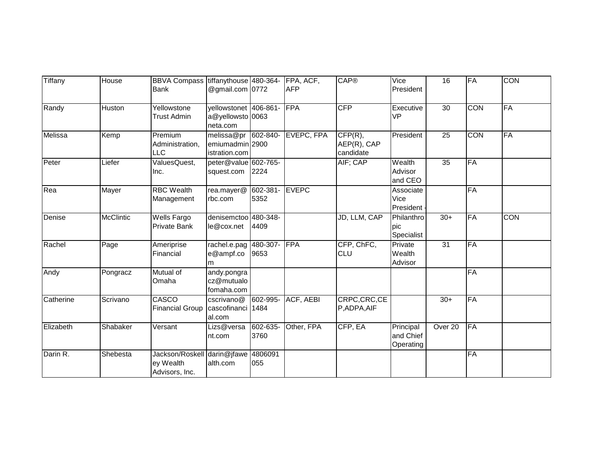| Tiffany        | House            | BBVA Compass tiffanythouse 480-364-<br><b>Bank</b>         | @gmail.com 0772                                       |                  | FPA, ACF,<br><b>AFP</b> | <b>CAP®</b>                         | Vice<br>President                   | 16              | <b>FA</b>  | <b>CON</b> |
|----------------|------------------|------------------------------------------------------------|-------------------------------------------------------|------------------|-------------------------|-------------------------------------|-------------------------------------|-----------------|------------|------------|
| Randy          | Huston           | Yellowstone<br><b>Trust Admin</b>                          | yellowstonet 406-861-<br>a@yellowsto 0063<br>neta.com |                  | FPA                     | <b>CFP</b>                          | Executive<br><b>VP</b>              | 30              | <b>CON</b> | <b>FA</b>  |
| <b>Melissa</b> | Kemp             | Premium<br>Administration,<br><b>LLC</b>                   | melissa@pr<br>emiumadmin 2900<br>istration.com        | 602-840-         | EVEPC, FPA              | CFP(R),<br>AEP(R), CAP<br>candidate | President                           | $\overline{25}$ | <b>CON</b> | FA         |
| Peter          | Liefer           | ValuesQuest,<br>Inc.                                       | peter@value 602-765-<br>squest.com                    | 2224             |                         | AIF; CAP                            | Wealth<br>Advisor<br>and CEO        | 35              | FA         |            |
| Rea            | Mayer            | <b>RBC</b> Wealth<br>Management                            | rea.mayer@<br>rbc.com                                 | 602-381-<br>5352 | <b>EVEPC</b>            |                                     | Associate<br>Vice<br>President -    |                 | FA         |            |
| Denise         | <b>McClintic</b> | <b>Wells Fargo</b><br><b>Private Bank</b>                  | denisemctoo 480-348-<br>le@cox.net                    | 4409             |                         | JD, LLM, CAP                        | Philanthro<br>pic<br>Specialist     | $30+$           | <b>FA</b>  | <b>CON</b> |
| Rachel         | Page             | Ameriprise<br>Financial                                    | rachel.e.pag<br>e@ampf.co<br>m                        | 480-307-<br>9653 | FPA                     | CFP, ChFC,<br>CLU                   | Private<br>Wealth<br>Advisor        | 31              | FA         |            |
| Andy           | Pongracz         | Mutual of<br>Omaha                                         | andy.pongra<br>cz@mutualo<br>fomaha.com               |                  |                         |                                     |                                     |                 | FA         |            |
| Catherine      | Scrivano         | CASCO<br><b>Financial Group</b>                            | cscrivano@<br>cascofinanci 1484<br>al.com             | 602-995-         | ACF, AEBI               | CRPC, CRC, CE<br>P,ADPA,AIF         |                                     | $30+$           | <b>FA</b>  |            |
| Elizabeth      | Shabaker         | Versant                                                    | Lizs@versa<br>nt.com                                  | 602-635-<br>3760 | Other, FPA              | CFP, EA                             | Principal<br>and Chief<br>Operating | Over 20         | FA         |            |
| Darin R.       | Shebesta         | Jackson/Roskell darin@jfawe<br>ey Wealth<br>Advisors, Inc. | alth.com                                              | 4806091<br>055   |                         |                                     |                                     |                 | <b>FA</b>  |            |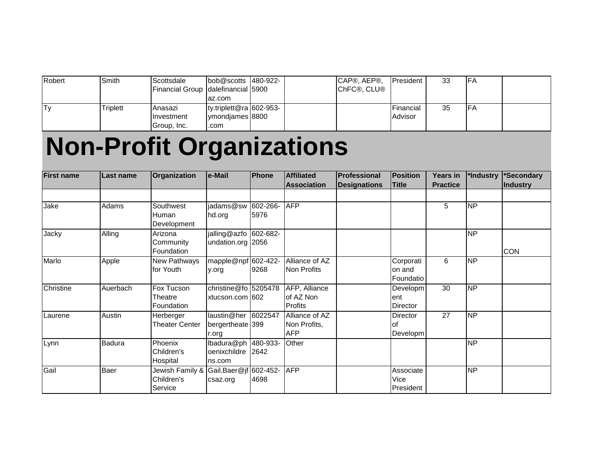| Robert | Smith           | <b>Scottsdale</b>                          | $\text{lob@scotts}$ 480-922- |  | CAP®, AEP®.         | <b>IPresident</b> | 33 | <b>IFA</b>          |  |
|--------|-----------------|--------------------------------------------|------------------------------|--|---------------------|-------------------|----|---------------------|--|
|        |                 | <b>Financial Group Idalefinancial 5900</b> |                              |  | <b>ICHFC®, CLU®</b> |                   |    |                     |  |
|        |                 |                                            | az.com                       |  |                     |                   |    |                     |  |
| IT۷    | <b>Triplett</b> | Anasazi                                    | ty.triplett@ra $602-953-$    |  |                     | Financial         | 35 | ∣⊏∆<br>$\mathsf{H}$ |  |
|        |                 | <b>Investment</b>                          | ymondiames 8800              |  |                     | Advisor           |    |                     |  |
|        |                 | Group, Inc.                                | .com                         |  |                     |                   |    |                     |  |

## **Non-Profit Organizations**

| <b>First name</b> | <b>Last name</b> | Organization                             | e-Mail                                              | <b>IPhone</b>    | <b>Affiliated</b>                            | <b>Professional</b> | <b>Position</b>                    | <b>Years</b> in | *Industry       | *Secondary      |
|-------------------|------------------|------------------------------------------|-----------------------------------------------------|------------------|----------------------------------------------|---------------------|------------------------------------|-----------------|-----------------|-----------------|
|                   |                  |                                          |                                                     |                  | <b>Association</b>                           | <b>Designations</b> | <b>Title</b>                       | <b>Practice</b> |                 | <b>Industry</b> |
|                   |                  |                                          |                                                     |                  |                                              |                     |                                    |                 |                 |                 |
| Jake              | Adams            | Southwest<br>Human<br>Development        | jadams@sw<br>hd.org                                 | 602-266-<br>5976 | <b>AFP</b>                                   |                     |                                    | 5               | <b>NP</b>       |                 |
| Jacky             | Alling           | Arizona<br>Community<br>Foundation       | jalling@azfo 602-682-<br>undation.org 2056          |                  |                                              |                     |                                    |                 | <b>NP</b>       | <b>CON</b>      |
| Marlo             | Apple            | New Pathways<br>for Youth                | mapple@npf 602-422-<br>y.org                        | 9268             | Alliance of AZ<br>Non Profits                |                     | Corporati<br>on and<br>Foundatio   | 6               | <b>NP</b>       |                 |
| Christine         | Auerbach         | Fox Tucson<br>Theatre<br>Foundation      | christine@fo $5205478$<br>xtucson.com 602           |                  | AFP, Alliance<br>of AZ Non<br>Profits        |                     | Developm<br><b>ent</b><br>Director | 30              | <b>NP</b>       |                 |
| Laurene           | Austin           | Herberger<br><b>Theater Center</b>       | laustin@her<br>bergertheate <sup>399</sup><br>r.org | 6022547          | Alliance of AZ<br>Non Profits,<br><b>AFP</b> |                     | Director<br>οf<br>Developm         | 27              | <b>NP</b>       |                 |
| Lynn              | Badura           | Phoenix<br>Children's<br>Hospital        | lbadura@ph<br>oenixchildre<br>ns.com                | 480-933-<br>2642 | Other                                        |                     |                                    |                 | $\overline{NP}$ |                 |
| Gail              | Baer             | Jewish Family &<br>Children's<br>Service | Gail.Baer@jf 602-452-<br>csaz.org                   | 4698             | <b>AFP</b>                                   |                     | Associate<br>Vice<br>President     |                 | <b>NP</b>       |                 |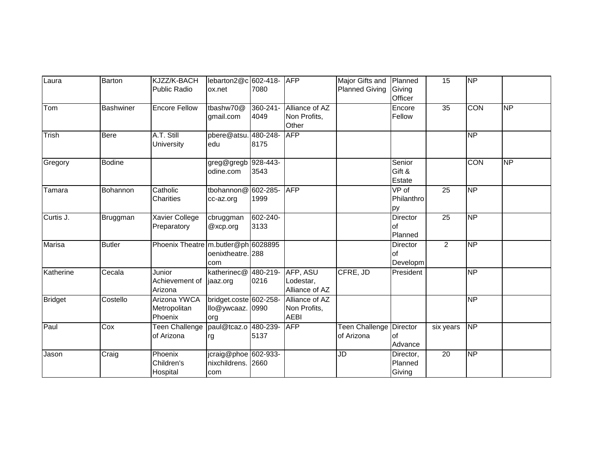| Laura          | Barton           | KJZZ/K-BACH                             | lebarton2@c 602-418-                              |                       | <b>AFP</b>                                    | Major Gifts and Planned      |                                        | 15              | <b>NP</b>                |           |
|----------------|------------------|-----------------------------------------|---------------------------------------------------|-----------------------|-----------------------------------------------|------------------------------|----------------------------------------|-----------------|--------------------------|-----------|
|                |                  | <b>Public Radio</b>                     | ox.net                                            | 7080                  |                                               | <b>Planned Giving</b>        | Giving<br>Officer                      |                 |                          |           |
| Tom            | <b>Bashwiner</b> | <b>Encore Fellow</b>                    | tbashw70@<br>gmail.com                            | 360-241-<br>4049      | Alliance of AZ<br>Non Profits,<br>Other       |                              | Encore<br>Fellow                       | $\overline{35}$ | CON                      | <b>NP</b> |
| Trish          | <b>Bere</b>      | A.T. Still<br>University                | pbere@atsu. 480-248-<br>edu                       | 8175                  | <b>AFP</b>                                    |                              |                                        |                 | NP                       |           |
| Gregory        | <b>Bodine</b>    |                                         | greg@gregb<br>odine.com                           | $928 - 443 -$<br>3543 |                                               |                              | Senior<br>Gift &<br>Estate             |                 | <b>CON</b>               | <b>NP</b> |
| Tamara         | Bohannon         | Catholic<br>Charities                   | tbohannon@ 602-285-<br>cc-az.org                  | 1999                  | <b>AFP</b>                                    |                              | $\overline{VP}$ of<br>Philanthro<br>py | $\overline{25}$ | NP                       |           |
| Curtis J.      | Bruggman         | <b>Xavier College</b><br>Preparatory    | cbruggman<br>@xcp.org                             | 602-240-<br>3133      |                                               |                              | Director<br>lof<br>Planned             | $\overline{25}$ | <b>NP</b>                |           |
| <b>Marisa</b>  | <b>Butler</b>    | Phoenix Theatre m.butler@ph 6028895     | oenixtheatre. 288<br>com                          |                       |                                               |                              | Director<br>lof<br>Developm            | $\overline{2}$  | $\overline{\mathsf{NP}}$ |           |
| Katherine      | Cecala           | Junior<br>Achievement of<br>Arizona     | katherinec@<br>jaaz.org                           | 480-219-<br>0216      | AFP, ASU<br>Lodestar,<br>Alliance of AZ       | CFRE, JD                     | President                              |                 | $\overline{NP}$          |           |
| <b>Bridget</b> | Costello         | Arizona YWCA<br>Metropolitan<br>Phoenix | bridget.coste 602-258-<br>llo@ywcaaz.<br>org      | 0990                  | Alliance of AZ<br>Non Profits,<br><b>AEBI</b> |                              |                                        |                 | <b>NP</b>                |           |
| Paul           | Cox              | Teen Challenge<br>of Arizona            | paul@tcaz.o<br>rg                                 | 480-239-<br>5137      | <b>AFP</b>                                    | Teen Challenge<br>of Arizona | Director<br>$\circ$ f<br>Advance       | six years       | $\overline{NP}$          |           |
| Jason          | Craig            | Phoenix<br>Children's<br>Hospital       | jcraig@phoe 602-933-<br>nixchildrens. 2660<br>com |                       |                                               | JD                           | Director,<br>Planned<br>Giving         | 20              | $\overline{\sf NP}$      |           |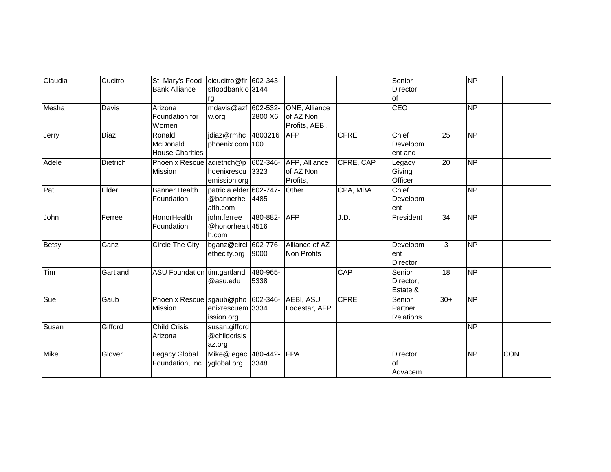| $\overline{\sf NP}$<br>NP     |
|-------------------------------|
|                               |
|                               |
|                               |
|                               |
|                               |
|                               |
|                               |
|                               |
| $\overline{NP}$               |
|                               |
|                               |
| NP                            |
|                               |
|                               |
| $\overline{NP}$               |
|                               |
|                               |
| <b>NP</b>                     |
|                               |
|                               |
| $\overline{NP}$               |
|                               |
|                               |
| $\overline{\sf NP}$           |
|                               |
|                               |
| NP                            |
|                               |
|                               |
| $\overline{NP}$<br><b>CON</b> |
|                               |
|                               |
|                               |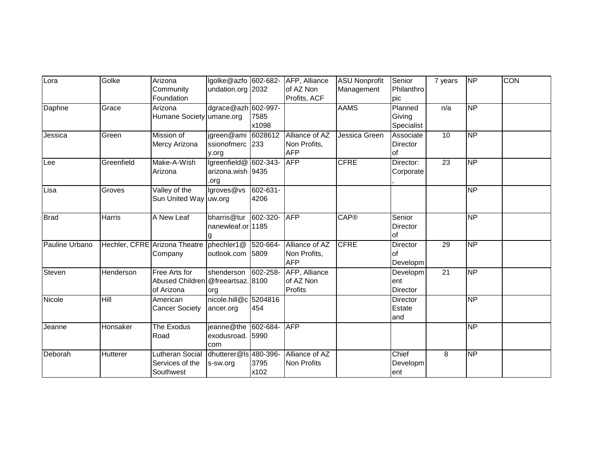| Lora           | Golke      | Arizona                                            | lgolke@azfo 602-682-         |          | AFP, Alliance              | <b>ASU Nonprofit</b> | Senior          | 7 years         | <b>NP</b>       | <b>CON</b> |
|----------------|------------|----------------------------------------------------|------------------------------|----------|----------------------------|----------------------|-----------------|-----------------|-----------------|------------|
|                |            | Community                                          | undation.org 2032            |          | of AZ Non                  | Management           | Philanthro      |                 |                 |            |
|                |            | Foundation                                         |                              |          | Profits, ACF               |                      | pic             |                 |                 |            |
| Daphne         | Grace      | Arizona                                            | dgrace@azh 602-997-          |          |                            | <b>AAMS</b>          | Planned         | n/a             | <b>NP</b>       |            |
|                |            | Humane Society umane.org                           |                              | 7585     |                            |                      | Giving          |                 |                 |            |
|                |            |                                                    |                              | x1098    |                            |                      | Specialist      |                 |                 |            |
| Jessica        | Green      | Mission of                                         | jgreen@ami                   | 6028612  | Alliance of AZ             | Jessica Green        | Associate       | 10              | <b>NP</b>       |            |
|                |            | Mercy Arizona                                      | ssionofmerc 233              |          | Non Profits,               |                      | Director        |                 |                 |            |
|                |            |                                                    | y.org                        |          | <b>AFP</b>                 |                      | of              |                 |                 |            |
| Lee            | Greenfield | Make-A-Wish                                        | Igreenfield@ 602-343-        |          | <b>AFP</b>                 | <b>CFRE</b>          | Director:       | 23              | <b>NP</b>       |            |
|                |            | Arizona                                            | arizona.wish 9435            |          |                            |                      | Corporate       |                 |                 |            |
|                |            |                                                    | .org                         |          |                            |                      |                 |                 |                 |            |
| Lisa           | Groves     | Valley of the                                      | lgroves@vs                   | 602-631- |                            |                      |                 |                 | <b>NP</b>       |            |
|                |            | Sun United Way uw.org                              |                              | 4206     |                            |                      |                 |                 |                 |            |
|                |            |                                                    |                              |          |                            |                      |                 |                 |                 |            |
| <b>Brad</b>    | Harris     | A New Leaf                                         | bharris@tur                  | 602-320- | <b>AFP</b>                 | <b>CAP®</b>          | Senior          |                 | <b>NP</b>       |            |
|                |            |                                                    | nanewleaf.or 1185            |          |                            |                      | <b>Director</b> |                 |                 |            |
|                |            |                                                    |                              |          |                            |                      | lof             |                 |                 |            |
| Pauline Urbano |            | Hechler, CFRE Arizona Theatre                      | phechler1@                   | 520-664- | Alliance of AZ             | <b>CFRE</b>          | Director        | 29              | <b>NP</b>       |            |
|                |            | Company                                            | outlook.com 5809             |          | Non Profits,<br><b>AFP</b> |                      | of              |                 |                 |            |
|                |            |                                                    |                              |          |                            |                      | Developm        | $\overline{21}$ | $\overline{NP}$ |            |
| Steven         | Henderson  | Free Arts for<br>Abused Children @freeartsaz. 8100 | shenderson                   | 602-258- | AFP, Alliance<br>of AZ Non |                      | Developm<br>ent |                 |                 |            |
|                |            | of Arizona                                         |                              |          | Profits                    |                      | Director        |                 |                 |            |
| Nicole         | Hill       | American                                           | org<br>nicole.hill@c 5204816 |          |                            |                      | <b>Director</b> |                 | <b>NP</b>       |            |
|                |            | <b>Cancer Society</b>                              |                              | 454      |                            |                      | Estate          |                 |                 |            |
|                |            |                                                    | ancer.org                    |          |                            |                      | and             |                 |                 |            |
| Jeanne         | Honsaker   | The Exodus                                         | jeanne@the 602-684-          |          | <b>AFP</b>                 |                      |                 |                 | <b>NP</b>       |            |
|                |            | Road                                               | exodusroad. 5990             |          |                            |                      |                 |                 |                 |            |
|                |            |                                                    | com                          |          |                            |                      |                 |                 |                 |            |
| Deborah        | Hutterer   | Lutheran Social                                    | dhutterer@ls 480-396-        |          | Alliance of AZ             |                      | Chief           | 8               | <b>NP</b>       |            |
|                |            | Services of the                                    | s-sw.org                     | 3795     | <b>Non Profits</b>         |                      | Developm        |                 |                 |            |
|                |            | Southwest                                          |                              | x102     |                            |                      | ent             |                 |                 |            |
|                |            |                                                    |                              |          |                            |                      |                 |                 |                 |            |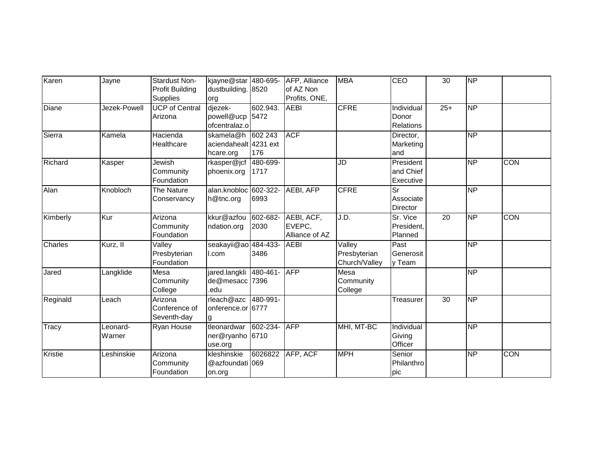| Karen          | Jayne        | Stardust Non-          | kjayne@star 480-695-  |          | AFP, Alliance    | <b>MBA</b>                   | CEO                       | $\overline{30}$ | <b>NP</b> |            |
|----------------|--------------|------------------------|-----------------------|----------|------------------|------------------------------|---------------------------|-----------------|-----------|------------|
|                |              | <b>Profit Building</b> | dustbuilding. 8520    |          | of AZ Non        |                              |                           |                 |           |            |
|                |              | <b>Supplies</b>        | org                   |          | Profits, ONE,    |                              |                           |                 |           |            |
| Diane          | Jezek-Powell | <b>UCP</b> of Central  | djezek-               | 602.943. | <b>AEBI</b>      | <b>CFRE</b>                  | Individual                | $25+$           | <b>NP</b> |            |
|                |              | Arizona                | powell@ucp            | 5472     |                  |                              | Donor                     |                 |           |            |
|                |              |                        | ofcentralaz.o         |          |                  |                              | <b>Relations</b>          |                 |           |            |
| Sierra         | Kamela       | Hacienda               | skamela@h             | 602 243  | <b>ACF</b>       |                              | Director,                 |                 | <b>NP</b> |            |
|                |              | Healthcare             | aciendahealt 4231 ext |          |                  |                              | Marketing                 |                 |           |            |
|                |              |                        | hcare.org             | 176      |                  |                              | and                       |                 |           |            |
| Richard        | Kasper       | Jewish                 | rkasper@jcf           | 480-699- |                  | JD                           | President                 |                 | <b>NP</b> | <b>CON</b> |
|                |              | Community              | phoenix.org           | 1717     |                  |                              | and Chief                 |                 |           |            |
|                |              | Foundation             |                       |          |                  |                              | Executive                 |                 |           |            |
| Alan           | Knobloch     | The Nature             | alan.knobloc 602-322- |          | <b>AEBI, AFP</b> | <b>CFRE</b>                  | $\overline{\mathsf{S}^r}$ |                 | <b>NP</b> |            |
|                |              | Conservancy            | h@tnc.org             | 6993     |                  |                              | Associate                 |                 |           |            |
|                |              |                        |                       |          |                  |                              | <b>Director</b>           |                 |           |            |
| Kimberly       | Kur          | Arizona                | kkur@azfou            | 602-682- | AEBI, ACF,       | J.D.                         | Sr. Vice                  | $\overline{20}$ | <b>NP</b> | <b>CON</b> |
|                |              | Community              | ndation.org           | 2030     | EVEPC,           |                              | President,                |                 |           |            |
|                |              | Foundation             |                       |          | Alliance of AZ   |                              | Planned                   |                 |           |            |
| Charles        | Kurz, II     | Valley                 | seakayii@ao 484-433-  |          | <b>AEBI</b>      | $\overline{\mathsf{Valley}}$ | Past                      |                 | <b>NP</b> |            |
|                |              | Presbyterian           | I.com                 | 3486     |                  | Presbyterian                 | Generosit                 |                 |           |            |
|                |              | Foundation             |                       |          |                  | Church/Valley                | y Team                    |                 |           |            |
| Jared          | Langklide    | Mesa                   | jared.langkli         | 480-461- | <b>AFP</b>       | Mesa                         |                           |                 | <b>NP</b> |            |
|                |              | Community              | de@mesacc 7396        |          |                  | Community                    |                           |                 |           |            |
|                |              | College                | .edu                  |          |                  | College                      |                           |                 |           |            |
| Reginald       | Leach        | Arizona                | rleach@azc            | 480-991- |                  |                              | Treasurer                 | 30              | <b>NP</b> |            |
|                |              | Conference of          | onference.or 6777     |          |                  |                              |                           |                 |           |            |
|                |              | Seventh-day            | g                     |          |                  |                              |                           |                 |           |            |
| Tracy          | Leonard-     | <b>Ryan House</b>      | tleonardwar           | 602-234- | <b>AFP</b>       | MHI, MT-BC                   | Individual                |                 | <b>NP</b> |            |
|                | Warner       |                        | ner@ryanho 6710       |          |                  |                              | Giving                    |                 |           |            |
|                |              |                        | use.org               |          |                  |                              | Officer                   |                 |           |            |
| <b>Kristie</b> | Leshinskie   | Arizona                | kleshinskie           | 6026822  | AFP, ACF         | <b>MPH</b>                   | Senior                    |                 | <b>NP</b> | <b>CON</b> |
|                |              | Community              | @azfoundati 069       |          |                  |                              | Philanthro                |                 |           |            |
|                |              | Foundation             | on.org                |          |                  |                              | pic                       |                 |           |            |
|                |              |                        |                       |          |                  |                              |                           |                 |           |            |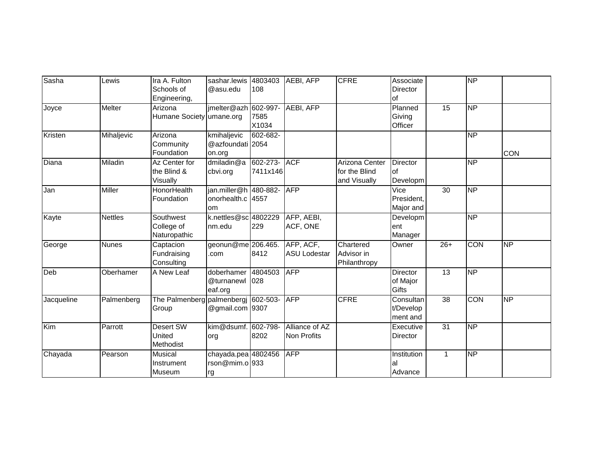| Lewis          | Ira A. Fulton         | sashar.lewis         |                                            |                                                                                                                                                                                                                                                                                              | <b>CFRE</b>                                                                                                                                                                                                    | Associate       |                 | <b>NP</b>       |            |
|----------------|-----------------------|----------------------|--------------------------------------------|----------------------------------------------------------------------------------------------------------------------------------------------------------------------------------------------------------------------------------------------------------------------------------------------|----------------------------------------------------------------------------------------------------------------------------------------------------------------------------------------------------------------|-----------------|-----------------|-----------------|------------|
|                | Schools of            | @asu.edu             | 108                                        |                                                                                                                                                                                                                                                                                              |                                                                                                                                                                                                                | Director        |                 |                 |            |
|                | Engineering,          |                      |                                            |                                                                                                                                                                                                                                                                                              |                                                                                                                                                                                                                | of              |                 |                 |            |
| <b>Melter</b>  | Arizona               | jmelter@azh          |                                            |                                                                                                                                                                                                                                                                                              |                                                                                                                                                                                                                | Planned         | 15              | <b>NP</b>       |            |
|                | <b>Humane Society</b> |                      | 7585                                       |                                                                                                                                                                                                                                                                                              |                                                                                                                                                                                                                | Giving          |                 |                 |            |
|                |                       |                      | X1034                                      |                                                                                                                                                                                                                                                                                              |                                                                                                                                                                                                                | Officer         |                 |                 |            |
| Mihaljevic     | Arizona               | kmihaljevic          |                                            |                                                                                                                                                                                                                                                                                              |                                                                                                                                                                                                                |                 |                 | <b>NP</b>       |            |
|                | Community             |                      |                                            |                                                                                                                                                                                                                                                                                              |                                                                                                                                                                                                                |                 |                 |                 |            |
|                | Foundation            | on.org               |                                            |                                                                                                                                                                                                                                                                                              |                                                                                                                                                                                                                |                 |                 |                 | <b>CON</b> |
| Miladin        | Az Center for         | dmiladin@a           |                                            |                                                                                                                                                                                                                                                                                              | Arizona Center                                                                                                                                                                                                 | <b>Director</b> |                 | $\overline{NP}$ |            |
|                | the Blind &           | cbvi.org             |                                            |                                                                                                                                                                                                                                                                                              | for the Blind                                                                                                                                                                                                  | lof             |                 |                 |            |
|                | Visually              |                      |                                            |                                                                                                                                                                                                                                                                                              | and Visually                                                                                                                                                                                                   | Developm        |                 |                 |            |
| <b>Miller</b>  | <b>HonorHealth</b>    |                      |                                            |                                                                                                                                                                                                                                                                                              |                                                                                                                                                                                                                | Vice            | 30              | <b>NP</b>       |            |
|                | Foundation            |                      |                                            |                                                                                                                                                                                                                                                                                              |                                                                                                                                                                                                                | President,      |                 |                 |            |
|                |                       | om                   |                                            |                                                                                                                                                                                                                                                                                              |                                                                                                                                                                                                                | Major and       |                 |                 |            |
| <b>Nettles</b> | Southwest             |                      |                                            |                                                                                                                                                                                                                                                                                              |                                                                                                                                                                                                                | Developm        |                 | <b>NP</b>       |            |
|                |                       | nm.edu               | 229                                        |                                                                                                                                                                                                                                                                                              |                                                                                                                                                                                                                | ent             |                 |                 |            |
|                | Naturopathic          |                      |                                            |                                                                                                                                                                                                                                                                                              |                                                                                                                                                                                                                | Manager         |                 |                 |            |
| <b>Nunes</b>   | Captacion             |                      |                                            |                                                                                                                                                                                                                                                                                              | Chartered                                                                                                                                                                                                      | Owner           | $26+$           | <b>CON</b>      | <b>NP</b>  |
|                | Fundraising           | .com                 |                                            |                                                                                                                                                                                                                                                                                              | Advisor in                                                                                                                                                                                                     |                 |                 |                 |            |
|                | Consulting            |                      |                                            |                                                                                                                                                                                                                                                                                              | Philanthropy                                                                                                                                                                                                   |                 |                 |                 |            |
| Oberhamer      | A New Leaf            | doberhamer           |                                            |                                                                                                                                                                                                                                                                                              |                                                                                                                                                                                                                | Director        | 13              | $\overline{NP}$ |            |
|                |                       | @turnanewl           |                                            |                                                                                                                                                                                                                                                                                              |                                                                                                                                                                                                                | of Major        |                 |                 |            |
|                |                       | eaf.org              |                                            |                                                                                                                                                                                                                                                                                              |                                                                                                                                                                                                                | Gifts           |                 |                 |            |
| Palmenberg     |                       |                      |                                            |                                                                                                                                                                                                                                                                                              | <b>CFRE</b>                                                                                                                                                                                                    | Consultan       | $\overline{38}$ | <b>CON</b>      | <b>NP</b>  |
|                | Group                 |                      |                                            |                                                                                                                                                                                                                                                                                              |                                                                                                                                                                                                                | t/Develop       |                 |                 |            |
|                |                       |                      |                                            |                                                                                                                                                                                                                                                                                              |                                                                                                                                                                                                                | ment and        |                 |                 |            |
| Parrott        | <b>Desert SW</b>      |                      |                                            |                                                                                                                                                                                                                                                                                              |                                                                                                                                                                                                                | Executive       |                 |                 |            |
|                |                       | org                  |                                            |                                                                                                                                                                                                                                                                                              |                                                                                                                                                                                                                | <b>Director</b> |                 |                 |            |
|                | Methodist             |                      |                                            |                                                                                                                                                                                                                                                                                              |                                                                                                                                                                                                                |                 |                 |                 |            |
| Pearson        | <b>Musical</b>        |                      |                                            |                                                                                                                                                                                                                                                                                              |                                                                                                                                                                                                                | Institution     | $\mathbf 1$     | <b>NP</b>       |            |
|                | Instrument            |                      |                                            |                                                                                                                                                                                                                                                                                              |                                                                                                                                                                                                                | lal             |                 |                 |            |
|                | Museum                | rg                   |                                            |                                                                                                                                                                                                                                                                                              |                                                                                                                                                                                                                | Advance         |                 |                 |            |
|                |                       | College of<br>United | umane.org<br>The Palmenberg<br>palmenbergi | 4803403<br>602-997-<br>602-682-<br>@azfoundati 2054<br>602-273-<br>jan.miller@h 480-882-<br>onorhealth.c 4557<br>k.nettles@sc 4802229<br>geonun@me 206.465.<br>8412<br>4804503<br>028<br>602-503-<br>@gmail.com 9307<br>kim@dsumf. 602-798-<br>8202<br>chayada.pea 4802456<br>rson@mim.ol933 | AEBI, AFP<br><b>AEBI, AFP</b><br><b>ACF</b><br>7411x146<br><b>AFP</b><br>AFP, AEBI,<br>ACF, ONE<br>AFP, ACF,<br><b>ASU Lodestar</b><br><b>AFP</b><br><b>AFP</b><br>Alliance of AZ<br>Non Profits<br><b>AFP</b> |                 |                 | $\overline{31}$ | <b>NP</b>  |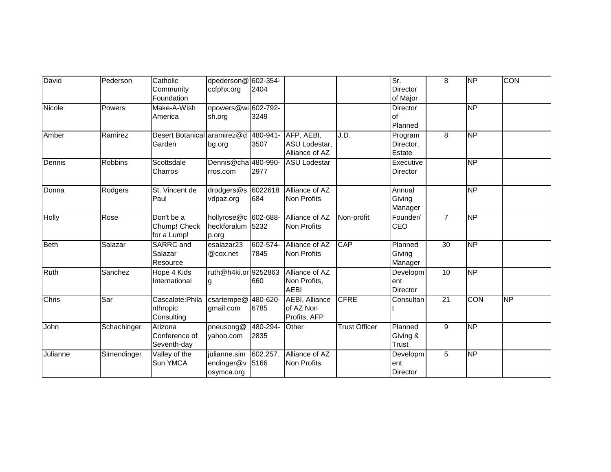| David        | Pederson       | Catholic<br>Community<br>Foundation        | dpederson@ 602-354-<br>ccfphx.org                 | 2404             |                                                    |                      | Sr.<br>Director<br>of Major        | 8               | <b>NP</b>           | <b>CON</b> |
|--------------|----------------|--------------------------------------------|---------------------------------------------------|------------------|----------------------------------------------------|----------------------|------------------------------------|-----------------|---------------------|------------|
| Nicole       | Powers         | Make-A-Wish<br>America                     | npowers@wi 602-792-<br>sh.org                     | 3249             |                                                    |                      | <b>Director</b><br>lof<br>Planned  |                 | NP                  |            |
| Amber        | Ramirez        | <b>Desert Botanical</b><br>Garden          | aramirez@d<br>bg.org                              | 480-941-<br>3507 | AFP, AEBI,<br>ASU Lodestar,<br>Alliance of AZ      | J.D.                 | Program<br>Director,<br>Estate     | 8               | $\overline{\sf NP}$ |            |
| Dennis       | <b>Robbins</b> | Scottsdale<br>Charros                      | Dennis@cha 480-990-<br>rros.com                   | 2977             | <b>ASU Lodestar</b>                                |                      | Executive<br>Director              |                 | $\overline{NP}$     |            |
| Donna        | Rodgers        | St. Vincent de<br>Paul                     | drodgers $@s$<br>vdpaz.org                        | 6022618<br>684   | Alliance of AZ<br><b>Non Profits</b>               |                      | Annual<br>Giving<br>Manager        |                 | <b>NP</b>           |            |
| <b>Holly</b> | Rose           | Don't be a<br>Chump! Check<br>for a Lump!  | hollyrose@c 602-688-<br>heckforalum 5232<br>p.org |                  | Alliance of AZ<br>Non Profits                      | Non-profit           | Founder/<br>CEO                    | $\overline{7}$  | NP                  |            |
| <b>Beth</b>  | Salazar        | SARRC and<br>Salazar<br>Resource           | esalazar23<br>@cox.net                            | 602-574-<br>7845 | Alliance of AZ<br>Non Profits                      | CAP                  | Planned<br>Giving<br>Manager       | 30              | $\overline{NP}$     |            |
| Ruth         | Sanchez        | Hope 4 Kids<br>International               | ruth@h4ki.or 9252863<br>g                         | 660              | Alliance of AZ<br>Non Profits,<br><b>AEBI</b>      |                      | Developm<br>ent<br><b>Director</b> | 10              | $\overline{NP}$     |            |
| Chris        | Sar            | Cascalote: Phila<br>nthropic<br>Consulting | $\overline{\text{c}}$ sartempe@<br>gmail.com      | 480-620-<br>6785 | <b>AEBI, Alliance</b><br>of AZ Non<br>Profits, AFP | <b>CFRE</b>          | Consultan                          | $\overline{21}$ | CON                 | <b>NP</b>  |
| John         | Schachinger    | Arizona<br>Conference of<br>Seventh-day    | pneusong@<br>yahoo.com                            | 480-294-<br>2835 | Other                                              | <b>Trust Officer</b> | Planned<br>Giving &<br>Trust       | 9               | $\overline{NP}$     |            |
| Julianne     | Simendinger    | Valley of the<br>Sun YMCA                  | julianne.sim<br>endinger@v<br>osymca.org          | 602.257.<br>5166 | Alliance of AZ<br>Non Profits                      |                      | Developm<br>ent<br>Director        | $\overline{5}$  | $\overline{NP}$     |            |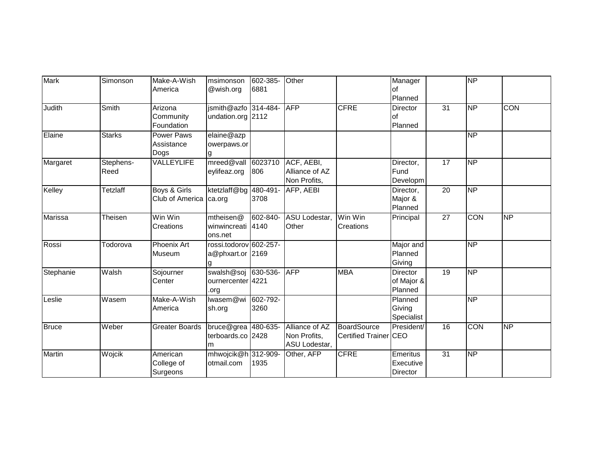| <b>Mark</b>   | Simonson      | Make-A-Wish           | msimonson              | 602-385- | Other          |                       | Manager         |                 | <b>NP</b>           |                 |
|---------------|---------------|-----------------------|------------------------|----------|----------------|-----------------------|-----------------|-----------------|---------------------|-----------------|
|               |               | America               | @wish.org              | 6881     |                |                       | of              |                 |                     |                 |
|               |               |                       |                        |          |                |                       | Planned         |                 |                     |                 |
| Judith        | Smith         | Arizona               | jsmith@azfo 314-484-   |          | <b>AFP</b>     | <b>CFRE</b>           | Director        | 31              | $\overline{\sf NP}$ | CON             |
|               |               | Community             | undation.org 2112      |          |                |                       | <b>of</b>       |                 |                     |                 |
|               |               | Foundation            |                        |          |                |                       | Planned         |                 |                     |                 |
| Elaine        | <b>Starks</b> | Power Paws            | elaine@azp             |          |                |                       |                 |                 | NP                  |                 |
|               |               | Assistance            | owerpaws.or            |          |                |                       |                 |                 |                     |                 |
|               |               | Dogs                  |                        |          |                |                       |                 |                 |                     |                 |
| Margaret      | Stephens-     | VALLEYLIFE            | mreed@vall             | 6023710  | ACF, AEBI,     |                       | Director,       | 17              | $\overline{NP}$     |                 |
|               | Reed          |                       | eylifeaz.org           | 806      | Alliance of AZ |                       | Fund            |                 |                     |                 |
|               |               |                       |                        |          | Non Profits,   |                       | Developm        |                 |                     |                 |
| Kelley        | Tetzlaff      | Boys & Girls          | ktetzlaff@bg           | 480-491- | AFP, AEBI      |                       | Director,       | 20              | NP                  |                 |
|               |               | Club of America       | ca.org                 | 3708     |                |                       | Major &         |                 |                     |                 |
|               |               |                       |                        |          |                |                       | Planned         |                 |                     |                 |
| Marissa       | Theisen       | Win Win               | mtheisen@              | 602-840- | ASU Lodestar,  | Win Win               | Principal       | $\overline{27}$ | <b>CON</b>          | $\overline{NP}$ |
|               |               | Creations             | winwincreati           | 4140     | Other          | Creations             |                 |                 |                     |                 |
|               |               |                       | ons.net                |          |                |                       |                 |                 |                     |                 |
| Rossi         | Todorova      | Phoenix Art           | rossi.todorov 602-257- |          |                |                       | Major and       |                 | $\overline{NP}$     |                 |
|               |               | Museum                | a@phxart.or 2169       |          |                |                       | Planned         |                 |                     |                 |
|               |               |                       |                        |          |                |                       | Giving          |                 |                     |                 |
| Stephanie     | Walsh         | Sojourner             | swalsh@soj 630-536-    |          | <b>AFP</b>     | <b>MBA</b>            | Director        | 19              | $\overline{NP}$     |                 |
|               |               | Center                | ournercenter 4221      |          |                |                       | of Major &      |                 |                     |                 |
|               |               |                       | .org                   |          |                |                       | Planned         |                 |                     |                 |
| Leslie        | Wasem         | Make-A-Wish           | lwasem@wi              | 602-792- |                |                       | Planned         |                 | NP                  |                 |
|               |               | America               | sh.org                 | 3260     |                |                       | Giving          |                 |                     |                 |
|               |               |                       |                        |          |                |                       | Specialist      |                 |                     |                 |
| <b>Bruce</b>  | Weber         | <b>Greater Boards</b> | bruce@grea 480-635-    |          | Alliance of AZ | <b>BoardSource</b>    | President/      | 16              | CON                 | NP              |
|               |               |                       | terboards.co 2428      |          | Non Profits,   | Certified Trainer CEO |                 |                 |                     |                 |
|               |               |                       | m                      |          | ASU Lodestar,  |                       |                 |                 |                     |                 |
| <b>Martin</b> | Wojcik        | American              | mhwojcik@h 312-909-    |          | Other, AFP     | <b>CFRE</b>           | Emeritus        | $\overline{31}$ | $\overline{NP}$     |                 |
|               |               | College of            | otmail.com             | 1935     |                |                       | Executive       |                 |                     |                 |
|               |               | Surgeons              |                        |          |                |                       | <b>Director</b> |                 |                     |                 |